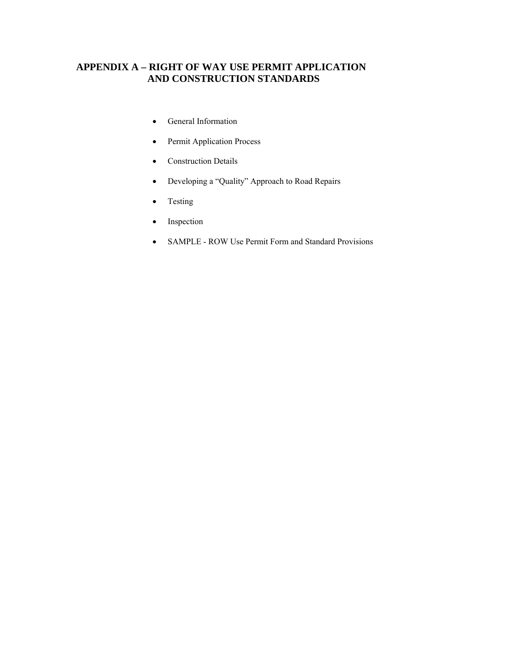# **APPENDIX A – RIGHT OF WAY USE PERMIT APPLICATION AND CONSTRUCTION STANDARDS**

- General Information
- Permit Application Process
- Construction Details
- Developing a "Quality" Approach to Road Repairs
- Testing
- Inspection
- SAMPLE ROW Use Permit Form and Standard Provisions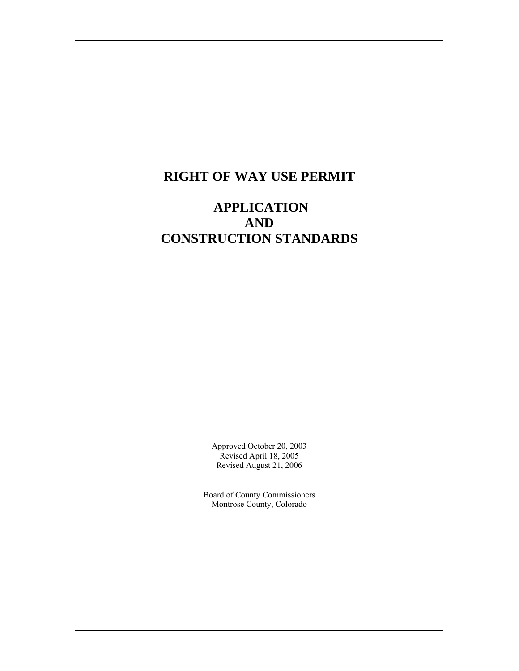# **RIGHT OF WAY USE PERMIT**

# **APPLICATION AND CONSTRUCTION STANDARDS**

Approved October 20, 2003 Revised April 18, 2005 Revised August 21, 2006

Board of County Commissioners Montrose County, Colorado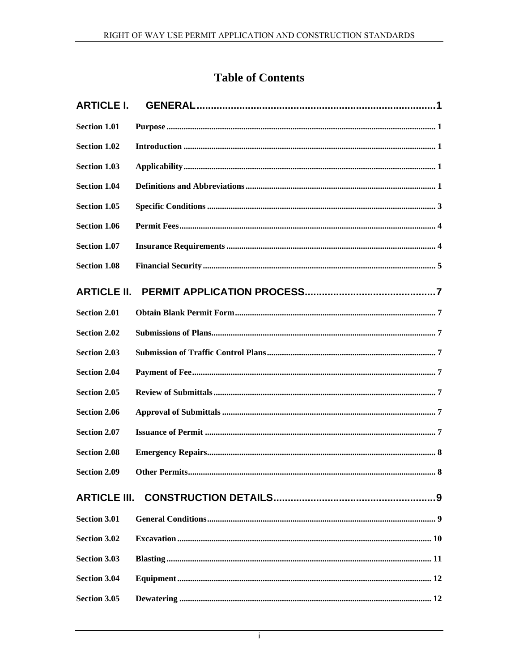# **Table of Contents**

| <b>ARTICLE I.</b>   |  |
|---------------------|--|
| <b>Section 1.01</b> |  |
| <b>Section 1.02</b> |  |
| <b>Section 1.03</b> |  |
| <b>Section 1.04</b> |  |
| <b>Section 1.05</b> |  |
| <b>Section 1.06</b> |  |
| <b>Section 1.07</b> |  |
| <b>Section 1.08</b> |  |
| <b>ARTICLE II.</b>  |  |
| <b>Section 2.01</b> |  |
| <b>Section 2.02</b> |  |
| <b>Section 2.03</b> |  |
| <b>Section 2.04</b> |  |
| <b>Section 2.05</b> |  |
| <b>Section 2.06</b> |  |
| <b>Section 2.07</b> |  |
| <b>Section 2.08</b> |  |
| <b>Section 2.09</b> |  |
|                     |  |
| <b>Section 3.01</b> |  |
| <b>Section 3.02</b> |  |
| <b>Section 3.03</b> |  |
| <b>Section 3.04</b> |  |
| <b>Section 3.05</b> |  |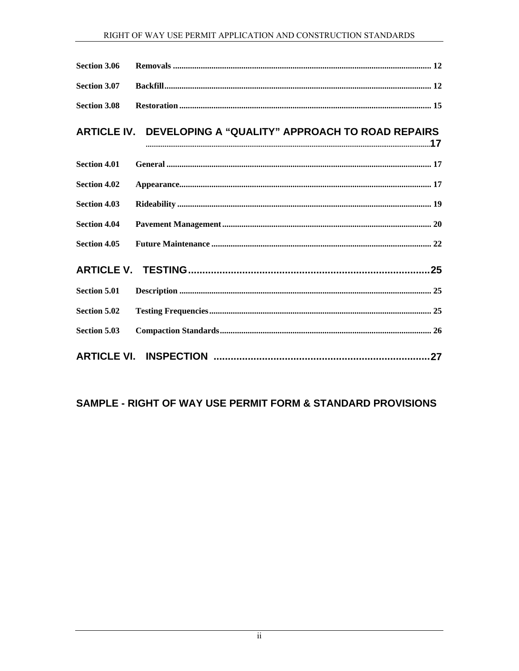| <b>Section 3.06</b> |                                                             |
|---------------------|-------------------------------------------------------------|
| <b>Section 3.07</b> |                                                             |
| <b>Section 3.08</b> |                                                             |
|                     | ARTICLE IV. DEVELOPING A "QUALITY" APPROACH TO ROAD REPAIRS |
| <b>Section 4.01</b> |                                                             |
| <b>Section 4.02</b> |                                                             |
| <b>Section 4.03</b> |                                                             |
| <b>Section 4.04</b> |                                                             |
| <b>Section 4.05</b> |                                                             |
|                     |                                                             |
| <b>Section 5.01</b> |                                                             |
| <b>Section 5.02</b> |                                                             |
| Section 5.03        |                                                             |
|                     |                                                             |

# SAMPLE - RIGHT OF WAY USE PERMIT FORM & STANDARD PROVISIONS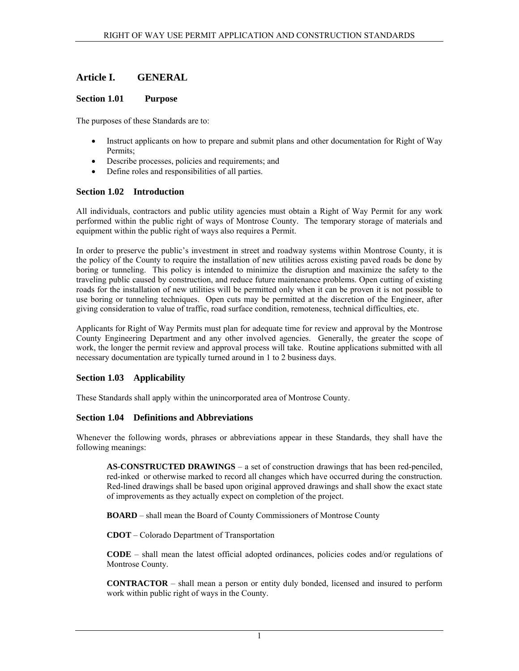# <span id="page-4-0"></span>**Article I. GENERAL**

## **Section 1.01 Purpose**

The purposes of these Standards are to:

- Instruct applicants on how to prepare and submit plans and other documentation for Right of Way Permits;
- Describe processes, policies and requirements; and
- Define roles and responsibilities of all parties.

# **Section 1.02 Introduction**

All individuals, contractors and public utility agencies must obtain a Right of Way Permit for any work performed within the public right of ways of Montrose County. The temporary storage of materials and equipment within the public right of ways also requires a Permit.

In order to preserve the public's investment in street and roadway systems within Montrose County, it is the policy of the County to require the installation of new utilities across existing paved roads be done by boring or tunneling. This policy is intended to minimize the disruption and maximize the safety to the traveling public caused by construction, and reduce future maintenance problems. Open cutting of existing roads for the installation of new utilities will be permitted only when it can be proven it is not possible to use boring or tunneling techniques. Open cuts may be permitted at the discretion of the Engineer, after giving consideration to value of traffic, road surface condition, remoteness, technical difficulties, etc.

Applicants for Right of Way Permits must plan for adequate time for review and approval by the Montrose County Engineering Department and any other involved agencies. Generally, the greater the scope of work, the longer the permit review and approval process will take. Routine applications submitted with all necessary documentation are typically turned around in 1 to 2 business days.

### **Section 1.03 Applicability**

These Standards shall apply within the unincorporated area of Montrose County.

### **Section 1.04 Definitions and Abbreviations**

Whenever the following words, phrases or abbreviations appear in these Standards, they shall have the following meanings:

**AS-CONSTRUCTED DRAWINGS** – a set of construction drawings that has been red-penciled, red-inked or otherwise marked to record all changes which have occurred during the construction. Red-lined drawings shall be based upon original approved drawings and shall show the exact state of improvements as they actually expect on completion of the project.

**BOARD** – shall mean the Board of County Commissioners of Montrose County

**CDOT** – Colorado Department of Transportation

**CODE** – shall mean the latest official adopted ordinances, policies codes and/or regulations of Montrose County.

**CONTRACTOR** – shall mean a person or entity duly bonded, licensed and insured to perform work within public right of ways in the County.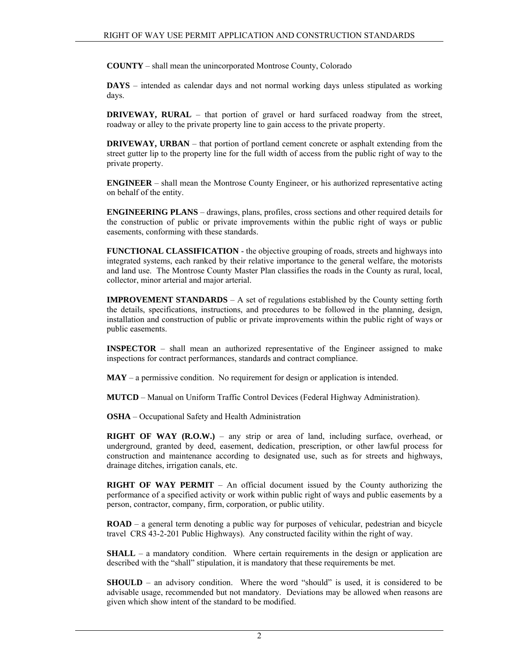**COUNTY** – shall mean the unincorporated Montrose County, Colorado

**DAYS** – intended as calendar days and not normal working days unless stipulated as working days.

**DRIVEWAY, RURAL** – that portion of gravel or hard surfaced roadway from the street, roadway or alley to the private property line to gain access to the private property.

**DRIVEWAY, URBAN** – that portion of portland cement concrete or asphalt extending from the street gutter lip to the property line for the full width of access from the public right of way to the private property.

**ENGINEER** – shall mean the Montrose County Engineer, or his authorized representative acting on behalf of the entity.

**ENGINEERING PLANS** – drawings, plans, profiles, cross sections and other required details for the construction of public or private improvements within the public right of ways or public easements, conforming with these standards.

**FUNCTIONAL CLASSIFICATION** - the objective grouping of roads, streets and highways into integrated systems, each ranked by their relative importance to the general welfare, the motorists and land use. The Montrose County Master Plan classifies the roads in the County as rural, local, collector, minor arterial and major arterial.

**IMPROVEMENT STANDARDS** – A set of regulations established by the County setting forth the details, specifications, instructions, and procedures to be followed in the planning, design, installation and construction of public or private improvements within the public right of ways or public easements.

**INSPECTOR** – shall mean an authorized representative of the Engineer assigned to make inspections for contract performances, standards and contract compliance.

**MAY** – a permissive condition. No requirement for design or application is intended.

**MUTCD** – Manual on Uniform Traffic Control Devices (Federal Highway Administration).

**OSHA** – Occupational Safety and Health Administration

**RIGHT OF WAY (R.O.W.)** – any strip or area of land, including surface, overhead, or underground, granted by deed, easement, dedication, prescription, or other lawful process for construction and maintenance according to designated use, such as for streets and highways, drainage ditches, irrigation canals, etc.

**RIGHT OF WAY PERMIT** – An official document issued by the County authorizing the performance of a specified activity or work within public right of ways and public easements by a person, contractor, company, firm, corporation, or public utility.

**ROAD** – a general term denoting a public way for purposes of vehicular, pedestrian and bicycle travel CRS 43-2-201 Public Highways). Any constructed facility within the right of way.

**SHALL** – a mandatory condition. Where certain requirements in the design or application are described with the "shall" stipulation, it is mandatory that these requirements be met.

**SHOULD** – an advisory condition. Where the word "should" is used, it is considered to be advisable usage, recommended but not mandatory. Deviations may be allowed when reasons are given which show intent of the standard to be modified.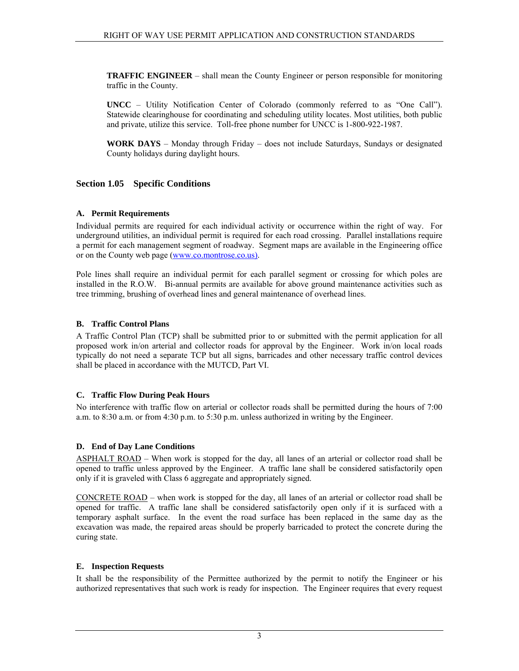<span id="page-6-0"></span>**TRAFFIC ENGINEER** – shall mean the County Engineer or person responsible for monitoring traffic in the County.

**UNCC** – Utility Notification Center of Colorado (commonly referred to as "One Call"). Statewide clearinghouse for coordinating and scheduling utility locates. Most utilities, both public and private, utilize this service. Toll-free phone number for UNCC is 1-800-922-1987.

**WORK DAYS** – Monday through Friday – does not include Saturdays, Sundays or designated County holidays during daylight hours.

### **Section 1.05 Specific Conditions**

#### **A. Permit Requirements**

Individual permits are required for each individual activity or occurrence within the right of way. For underground utilities, an individual permit is required for each road crossing. Parallel installations require a permit for each management segment of roadway. Segment maps are available in the Engineering office or on the County web page ([www.co.montrose.co.us\).](http://www.co.montrose.co.us)/)

Pole lines shall require an individual permit for each parallel segment or crossing for which poles are installed in the R.O.W. Bi-annual permits are available for above ground maintenance activities such as tree trimming, brushing of overhead lines and general maintenance of overhead lines.

#### **B. Traffic Control Plans**

A Traffic Control Plan (TCP) shall be submitted prior to or submitted with the permit application for all proposed work in/on arterial and collector roads for approval by the Engineer. Work in/on local roads typically do not need a separate TCP but all signs, barricades and other necessary traffic control devices shall be placed in accordance with the MUTCD, Part VI.

#### **C. Traffic Flow During Peak Hours**

No interference with traffic flow on arterial or collector roads shall be permitted during the hours of 7:00 a.m. to 8:30 a.m. or from 4:30 p.m. to 5:30 p.m. unless authorized in writing by the Engineer.

#### **D. End of Day Lane Conditions**

ASPHALT ROAD – When work is stopped for the day, all lanes of an arterial or collector road shall be opened to traffic unless approved by the Engineer. A traffic lane shall be considered satisfactorily open only if it is graveled with Class 6 aggregate and appropriately signed.

CONCRETE ROAD – when work is stopped for the day, all lanes of an arterial or collector road shall be opened for traffic. A traffic lane shall be considered satisfactorily open only if it is surfaced with a temporary asphalt surface. In the event the road surface has been replaced in the same day as the excavation was made, the repaired areas should be properly barricaded to protect the concrete during the curing state.

#### **E. Inspection Requests**

It shall be the responsibility of the Permittee authorized by the permit to notify the Engineer or his authorized representatives that such work is ready for inspection. The Engineer requires that every request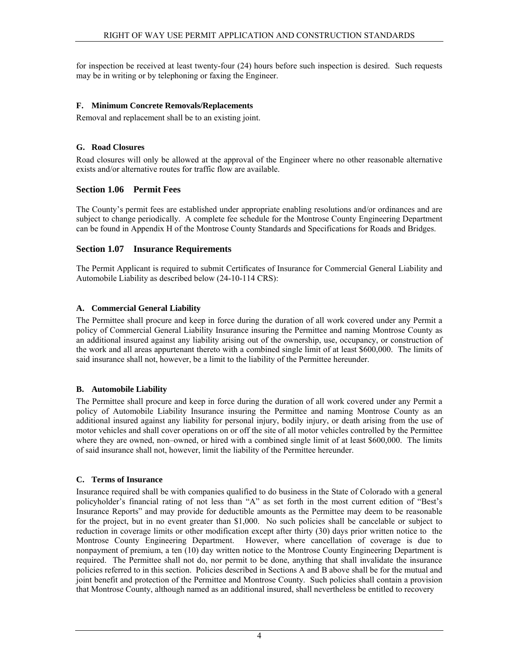<span id="page-7-0"></span>for inspection be received at least twenty-four (24) hours before such inspection is desired. Such requests may be in writing or by telephoning or faxing the Engineer.

# **F. Minimum Concrete Removals/Replacements**

Removal and replacement shall be to an existing joint.

# **G. Road Closures**

Road closures will only be allowed at the approval of the Engineer where no other reasonable alternative exists and/or alternative routes for traffic flow are available.

# **Section 1.06 Permit Fees**

The County's permit fees are established under appropriate enabling resolutions and/or ordinances and are subject to change periodically. A complete fee schedule for the Montrose County Engineering Department can be found in Appendix H of the Montrose County Standards and Specifications for Roads and Bridges.

# **Section 1.07 Insurance Requirements**

The Permit Applicant is required to submit Certificates of Insurance for Commercial General Liability and Automobile Liability as described below (24-10-114 CRS):

# **A. Commercial General Liability**

The Permittee shall procure and keep in force during the duration of all work covered under any Permit a policy of Commercial General Liability Insurance insuring the Permittee and naming Montrose County as an additional insured against any liability arising out of the ownership, use, occupancy, or construction of the work and all areas appurtenant thereto with a combined single limit of at least \$600,000. The limits of said insurance shall not, however, be a limit to the liability of the Permittee hereunder.

# **B. Automobile Liability**

The Permittee shall procure and keep in force during the duration of all work covered under any Permit a policy of Automobile Liability Insurance insuring the Permittee and naming Montrose County as an additional insured against any liability for personal injury, bodily injury, or death arising from the use of motor vehicles and shall cover operations on or off the site of all motor vehicles controlled by the Permittee where they are owned, non–owned, or hired with a combined single limit of at least \$600,000. The limits of said insurance shall not, however, limit the liability of the Permittee hereunder.

### **C. Terms of Insurance**

Insurance required shall be with companies qualified to do business in the State of Colorado with a general policyholder's financial rating of not less than "A" as set forth in the most current edition of "Best's Insurance Reports" and may provide for deductible amounts as the Permittee may deem to be reasonable for the project, but in no event greater than \$1,000. No such policies shall be cancelable or subject to reduction in coverage limits or other modification except after thirty (30) days prior written notice to the Montrose County Engineering Department. However, where cancellation of coverage is due to nonpayment of premium, a ten (10) day written notice to the Montrose County Engineering Department is required. The Permittee shall not do, nor permit to be done, anything that shall invalidate the insurance policies referred to in this section. Policies described in Sections A and B above shall be for the mutual and joint benefit and protection of the Permittee and Montrose County. Such policies shall contain a provision that Montrose County, although named as an additional insured, shall nevertheless be entitled to recovery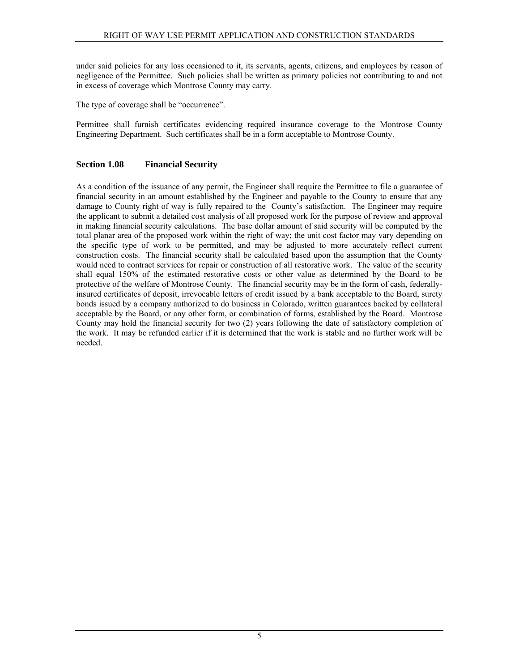<span id="page-8-0"></span>under said policies for any loss occasioned to it, its servants, agents, citizens, and employees by reason of negligence of the Permittee. Such policies shall be written as primary policies not contributing to and not in excess of coverage which Montrose County may carry.

The type of coverage shall be "occurrence".

Permittee shall furnish certificates evidencing required insurance coverage to the Montrose County Engineering Department. Such certificates shall be in a form acceptable to Montrose County.

# **Section 1.08 Financial Security**

As a condition of the issuance of any permit, the Engineer shall require the Permittee to file a guarantee of financial security in an amount established by the Engineer and payable to the County to ensure that any damage to County right of way is fully repaired to the County's satisfaction. The Engineer may require the applicant to submit a detailed cost analysis of all proposed work for the purpose of review and approval in making financial security calculations. The base dollar amount of said security will be computed by the total planar area of the proposed work within the right of way; the unit cost factor may vary depending on the specific type of work to be permitted, and may be adjusted to more accurately reflect current construction costs. The financial security shall be calculated based upon the assumption that the County would need to contract services for repair or construction of all restorative work. The value of the security shall equal 150% of the estimated restorative costs or other value as determined by the Board to be protective of the welfare of Montrose County. The financial security may be in the form of cash, federallyinsured certificates of deposit, irrevocable letters of credit issued by a bank acceptable to the Board, surety bonds issued by a company authorized to do business in Colorado, written guarantees backed by collateral acceptable by the Board, or any other form, or combination of forms, established by the Board. Montrose County may hold the financial security for two (2) years following the date of satisfactory completion of the work. It may be refunded earlier if it is determined that the work is stable and no further work will be needed.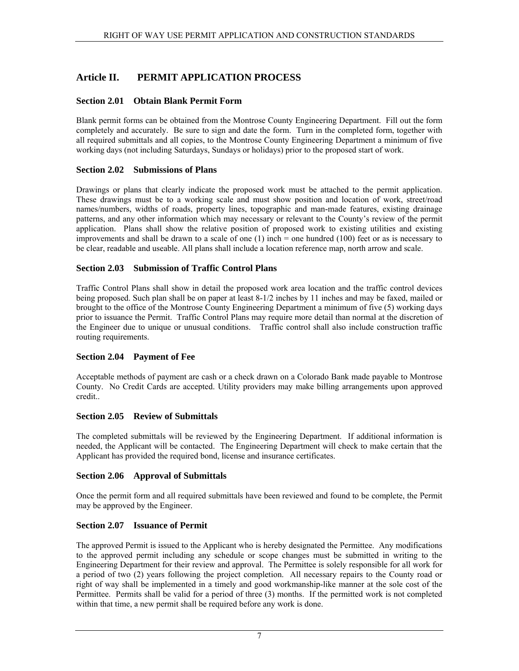# <span id="page-10-0"></span>**Article II. PERMIT APPLICATION PROCESS**

# **Section 2.01 Obtain Blank Permit Form**

Blank permit forms can be obtained from the Montrose County Engineering Department. Fill out the form completely and accurately. Be sure to sign and date the form. Turn in the completed form, together with all required submittals and all copies, to the Montrose County Engineering Department a minimum of five working days (not including Saturdays, Sundays or holidays) prior to the proposed start of work.

# **Section 2.02 Submissions of Plans**

Drawings or plans that clearly indicate the proposed work must be attached to the permit application. These drawings must be to a working scale and must show position and location of work, street/road names/numbers, widths of roads, property lines, topographic and man-made features, existing drainage patterns, and any other information which may necessary or relevant to the County's review of the permit application. Plans shall show the relative position of proposed work to existing utilities and existing improvements and shall be drawn to a scale of one  $(1)$  inch = one hundred  $(100)$  feet or as is necessary to be clear, readable and useable. All plans shall include a location reference map, north arrow and scale.

# **Section 2.03 Submission of Traffic Control Plans**

Traffic Control Plans shall show in detail the proposed work area location and the traffic control devices being proposed. Such plan shall be on paper at least 8-1/2 inches by 11 inches and may be faxed, mailed or brought to the office of the Montrose County Engineering Department a minimum of five (5) working days prior to issuance the Permit. Traffic Control Plans may require more detail than normal at the discretion of the Engineer due to unique or unusual conditions. Traffic control shall also include construction traffic routing requirements.

# **Section 2.04 Payment of Fee**

Acceptable methods of payment are cash or a check drawn on a Colorado Bank made payable to Montrose County. No Credit Cards are accepted. Utility providers may make billing arrangements upon approved credit..

### **Section 2.05 Review of Submittals**

The completed submittals will be reviewed by the Engineering Department. If additional information is needed, the Applicant will be contacted. The Engineering Department will check to make certain that the Applicant has provided the required bond, license and insurance certificates.

### **Section 2.06 Approval of Submittals**

Once the permit form and all required submittals have been reviewed and found to be complete, the Permit may be approved by the Engineer.

### **Section 2.07 Issuance of Permit**

The approved Permit is issued to the Applicant who is hereby designated the Permittee. Any modifications to the approved permit including any schedule or scope changes must be submitted in writing to the Engineering Department for their review and approval. The Permittee is solely responsible for all work for a period of two (2) years following the project completion. All necessary repairs to the County road or right of way shall be implemented in a timely and good workmanship-like manner at the sole cost of the Permittee. Permits shall be valid for a period of three (3) months. If the permitted work is not completed within that time, a new permit shall be required before any work is done.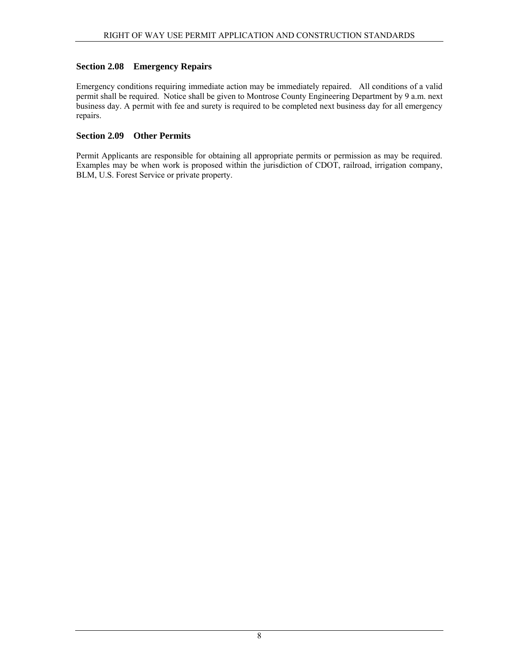# <span id="page-11-0"></span>**Section 2.08 Emergency Repairs**

Emergency conditions requiring immediate action may be immediately repaired. All conditions of a valid permit shall be required. Notice shall be given to Montrose County Engineering Department by 9 a.m. next business day. A permit with fee and surety is required to be completed next business day for all emergency repairs.

# **Section 2.09 Other Permits**

Permit Applicants are responsible for obtaining all appropriate permits or permission as may be required. Examples may be when work is proposed within the jurisdiction of CDOT, railroad, irrigation company, BLM, U.S. Forest Service or private property.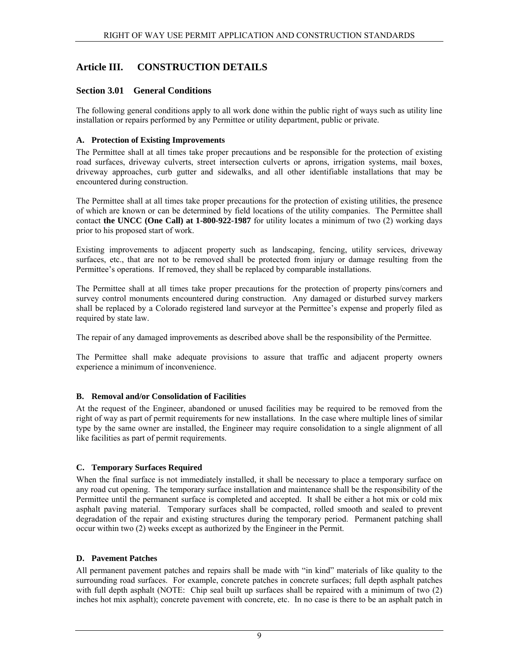# <span id="page-12-0"></span>**Article III. CONSTRUCTION DETAILS**

# **Section 3.01 General Conditions**

The following general conditions apply to all work done within the public right of ways such as utility line installation or repairs performed by any Permittee or utility department, public or private.

# **A. Protection of Existing Improvements**

The Permittee shall at all times take proper precautions and be responsible for the protection of existing road surfaces, driveway culverts, street intersection culverts or aprons, irrigation systems, mail boxes, driveway approaches, curb gutter and sidewalks, and all other identifiable installations that may be encountered during construction.

The Permittee shall at all times take proper precautions for the protection of existing utilities, the presence of which are known or can be determined by field locations of the utility companies. The Permittee shall contact **the UNCC (One Call) at 1-800-922-1987** for utility locates a minimum of two (2) working days prior to his proposed start of work.

Existing improvements to adjacent property such as landscaping, fencing, utility services, driveway surfaces, etc., that are not to be removed shall be protected from injury or damage resulting from the Permittee's operations. If removed, they shall be replaced by comparable installations.

The Permittee shall at all times take proper precautions for the protection of property pins/corners and survey control monuments encountered during construction. Any damaged or disturbed survey markers shall be replaced by a Colorado registered land surveyor at the Permittee's expense and properly filed as required by state law.

The repair of any damaged improvements as described above shall be the responsibility of the Permittee.

The Permittee shall make adequate provisions to assure that traffic and adjacent property owners experience a minimum of inconvenience.

# **B. Removal and/or Consolidation of Facilities**

At the request of the Engineer, abandoned or unused facilities may be required to be removed from the right of way as part of permit requirements for new installations. In the case where multiple lines of similar type by the same owner are installed, the Engineer may require consolidation to a single alignment of all like facilities as part of permit requirements.

### **C. Temporary Surfaces Required**

When the final surface is not immediately installed, it shall be necessary to place a temporary surface on any road cut opening. The temporary surface installation and maintenance shall be the responsibility of the Permittee until the permanent surface is completed and accepted. It shall be either a hot mix or cold mix asphalt paving material. Temporary surfaces shall be compacted, rolled smooth and sealed to prevent degradation of the repair and existing structures during the temporary period. Permanent patching shall occur within two (2) weeks except as authorized by the Engineer in the Permit.

### **D. Pavement Patches**

All permanent pavement patches and repairs shall be made with "in kind" materials of like quality to the surrounding road surfaces. For example, concrete patches in concrete surfaces; full depth asphalt patches with full depth asphalt (NOTE: Chip seal built up surfaces shall be repaired with a minimum of two (2) inches hot mix asphalt); concrete pavement with concrete, etc. In no case is there to be an asphalt patch in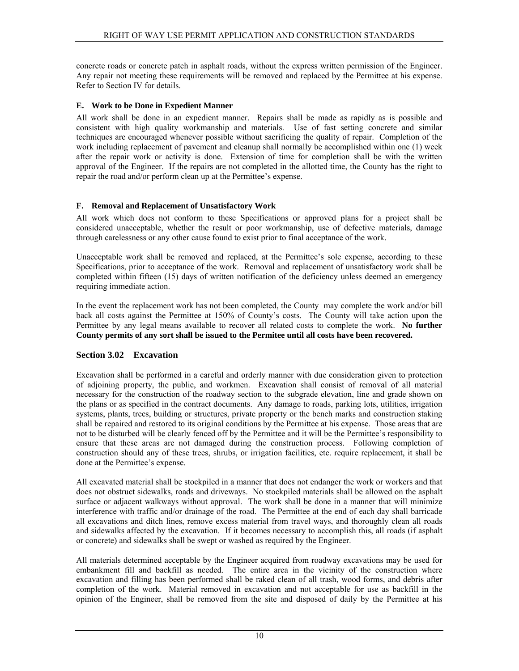<span id="page-13-0"></span>concrete roads or concrete patch in asphalt roads, without the express written permission of the Engineer. Any repair not meeting these requirements will be removed and replaced by the Permittee at his expense. Refer to Section IV for details.

# **E. Work to be Done in Expedient Manner**

All work shall be done in an expedient manner. Repairs shall be made as rapidly as is possible and consistent with high quality workmanship and materials. Use of fast setting concrete and similar techniques are encouraged whenever possible without sacrificing the quality of repair. Completion of the work including replacement of pavement and cleanup shall normally be accomplished within one (1) week after the repair work or activity is done. Extension of time for completion shall be with the written approval of the Engineer. If the repairs are not completed in the allotted time, the County has the right to repair the road and/or perform clean up at the Permittee's expense.

# **F. Removal and Replacement of Unsatisfactory Work**

All work which does not conform to these Specifications or approved plans for a project shall be considered unacceptable, whether the result or poor workmanship, use of defective materials, damage through carelessness or any other cause found to exist prior to final acceptance of the work.

Unacceptable work shall be removed and replaced, at the Permittee's sole expense, according to these Specifications, prior to acceptance of the work. Removal and replacement of unsatisfactory work shall be completed within fifteen (15) days of written notification of the deficiency unless deemed an emergency requiring immediate action.

In the event the replacement work has not been completed, the County may complete the work and/or bill back all costs against the Permittee at 150% of County's costs. The County will take action upon the Permittee by any legal means available to recover all related costs to complete the work. **No further County permits of any sort shall be issued to the Permitee until all costs have been recovered.**

# **Section 3.02 Excavation**

Excavation shall be performed in a careful and orderly manner with due consideration given to protection of adjoining property, the public, and workmen. Excavation shall consist of removal of all material necessary for the construction of the roadway section to the subgrade elevation, line and grade shown on the plans or as specified in the contract documents. Any damage to roads, parking lots, utilities, irrigation systems, plants, trees, building or structures, private property or the bench marks and construction staking shall be repaired and restored to its original conditions by the Permittee at his expense. Those areas that are not to be disturbed will be clearly fenced off by the Permittee and it will be the Permittee's responsibility to ensure that these areas are not damaged during the construction process. Following completion of construction should any of these trees, shrubs, or irrigation facilities, etc. require replacement, it shall be done at the Permittee's expense.

All excavated material shall be stockpiled in a manner that does not endanger the work or workers and that does not obstruct sidewalks, roads and driveways. No stockpiled materials shall be allowed on the asphalt surface or adjacent walkways without approval. The work shall be done in a manner that will minimize interference with traffic and/or drainage of the road. The Permittee at the end of each day shall barricade all excavations and ditch lines, remove excess material from travel ways, and thoroughly clean all roads and sidewalks affected by the excavation. If it becomes necessary to accomplish this, all roads (if asphalt or concrete) and sidewalks shall be swept or washed as required by the Engineer.

All materials determined acceptable by the Engineer acquired from roadway excavations may be used for embankment fill and backfill as needed. The entire area in the vicinity of the construction where excavation and filling has been performed shall be raked clean of all trash, wood forms, and debris after completion of the work. Material removed in excavation and not acceptable for use as backfill in the opinion of the Engineer, shall be removed from the site and disposed of daily by the Permittee at his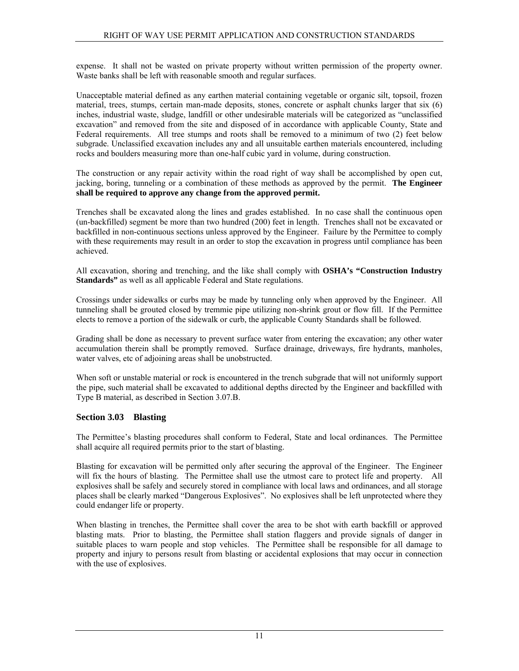<span id="page-14-0"></span>expense. It shall not be wasted on private property without written permission of the property owner. Waste banks shall be left with reasonable smooth and regular surfaces.

Unacceptable material defined as any earthen material containing vegetable or organic silt, topsoil, frozen material, trees, stumps, certain man-made deposits, stones, concrete or asphalt chunks larger that six (6) inches, industrial waste, sludge, landfill or other undesirable materials will be categorized as "unclassified excavation" and removed from the site and disposed of in accordance with applicable County, State and Federal requirements. All tree stumps and roots shall be removed to a minimum of two (2) feet below subgrade. Unclassified excavation includes any and all unsuitable earthen materials encountered, including rocks and boulders measuring more than one-half cubic yard in volume, during construction.

The construction or any repair activity within the road right of way shall be accomplished by open cut, jacking, boring, tunneling or a combination of these methods as approved by the permit. **The Engineer shall be required to approve any change from the approved permit.** 

Trenches shall be excavated along the lines and grades established. In no case shall the continuous open (un-backfilled) segment be more than two hundred (200) feet in length. Trenches shall not be excavated or backfilled in non-continuous sections unless approved by the Engineer. Failure by the Permittee to comply with these requirements may result in an order to stop the excavation in progress until compliance has been achieved.

All excavation, shoring and trenching, and the like shall comply with **OSHA's "Construction Industry Standards"** as well as all applicable Federal and State regulations.

Crossings under sidewalks or curbs may be made by tunneling only when approved by the Engineer. All tunneling shall be grouted closed by tremmie pipe utilizing non-shrink grout or flow fill. If the Permittee elects to remove a portion of the sidewalk or curb, the applicable County Standards shall be followed.

Grading shall be done as necessary to prevent surface water from entering the excavation; any other water accumulation therein shall be promptly removed. Surface drainage, driveways, fire hydrants, manholes, water valves, etc of adjoining areas shall be unobstructed.

When soft or unstable material or rock is encountered in the trench subgrade that will not uniformly support the pipe, such material shall be excavated to additional depths directed by the Engineer and backfilled with Type B material, as described in Section 3.07.B.

# **Section 3.03 Blasting**

The Permittee's blasting procedures shall conform to Federal, State and local ordinances. The Permittee shall acquire all required permits prior to the start of blasting.

Blasting for excavation will be permitted only after securing the approval of the Engineer. The Engineer will fix the hours of blasting. The Permittee shall use the utmost care to protect life and property. All explosives shall be safely and securely stored in compliance with local laws and ordinances, and all storage places shall be clearly marked "Dangerous Explosives". No explosives shall be left unprotected where they could endanger life or property.

When blasting in trenches, the Permittee shall cover the area to be shot with earth backfill or approved blasting mats. Prior to blasting, the Permittee shall station flaggers and provide signals of danger in suitable places to warn people and stop vehicles. The Permittee shall be responsible for all damage to property and injury to persons result from blasting or accidental explosions that may occur in connection with the use of explosives.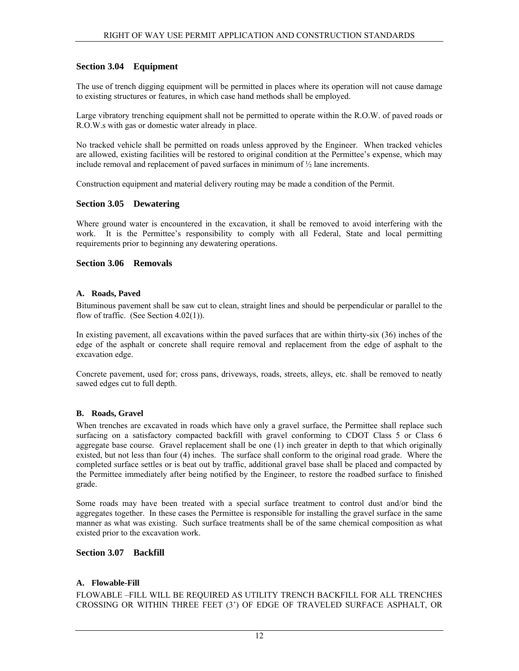# <span id="page-15-0"></span>**Section 3.04 Equipment**

The use of trench digging equipment will be permitted in places where its operation will not cause damage to existing structures or features, in which case hand methods shall be employed.

Large vibratory trenching equipment shall not be permitted to operate within the R.O.W. of paved roads or R.O.W.s with gas or domestic water already in place.

No tracked vehicle shall be permitted on roads unless approved by the Engineer. When tracked vehicles are allowed, existing facilities will be restored to original condition at the Permittee's expense, which may include removal and replacement of paved surfaces in minimum of ½ lane increments.

Construction equipment and material delivery routing may be made a condition of the Permit.

### **Section 3.05 Dewatering**

Where ground water is encountered in the excavation, it shall be removed to avoid interfering with the work. It is the Permittee's responsibility to comply with all Federal, State and local permitting requirements prior to beginning any dewatering operations.

### **Section 3.06 Removals**

#### **A. Roads, Paved**

Bituminous pavement shall be saw cut to clean, straight lines and should be perpendicular or parallel to the flow of traffic. (See Section 4.02(1)).

In existing pavement, all excavations within the paved surfaces that are within thirty-six (36) inches of the edge of the asphalt or concrete shall require removal and replacement from the edge of asphalt to the excavation edge.

Concrete pavement, used for; cross pans, driveways, roads, streets, alleys, etc. shall be removed to neatly sawed edges cut to full depth.

#### **B. Roads, Gravel**

When trenches are excavated in roads which have only a gravel surface, the Permittee shall replace such surfacing on a satisfactory compacted backfill with gravel conforming to CDOT Class 5 or Class 6 aggregate base course. Gravel replacement shall be one (1) inch greater in depth to that which originally existed, but not less than four (4) inches. The surface shall conform to the original road grade. Where the completed surface settles or is beat out by traffic, additional gravel base shall be placed and compacted by the Permittee immediately after being notified by the Engineer, to restore the roadbed surface to finished grade.

Some roads may have been treated with a special surface treatment to control dust and/or bind the aggregates together. In these cases the Permittee is responsible for installing the gravel surface in the same manner as what was existing. Such surface treatments shall be of the same chemical composition as what existed prior to the excavation work.

### **Section 3.07 Backfill**

#### **A. Flowable-Fill**

FLOWABLE –FILL WILL BE REQUIRED AS UTILITY TRENCH BACKFILL FOR ALL TRENCHES CROSSING OR WITHIN THREE FEET (3') OF EDGE OF TRAVELED SURFACE ASPHALT, OR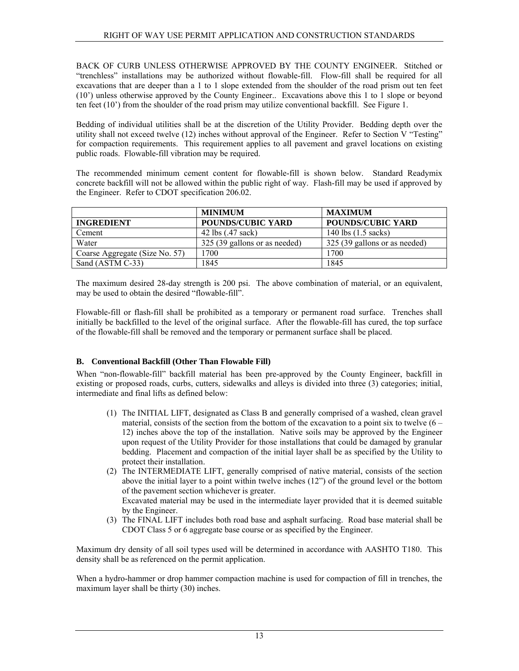BACK OF CURB UNLESS OTHERWISE APPROVED BY THE COUNTY ENGINEER. Stitched or "trenchless" installations may be authorized without flowable-fill. Flow-fill shall be required for all excavations that are deeper than a 1 to 1 slope extended from the shoulder of the road prism out ten feet (10') unless otherwise approved by the County Engineer.. Excavations above this 1 to 1 slope or beyond ten feet (10') from the shoulder of the road prism may utilize conventional backfill. See Figure 1.

Bedding of individual utilities shall be at the discretion of the Utility Provider. Bedding depth over the utility shall not exceed twelve (12) inches without approval of the Engineer. Refer to Section V "Testing" for compaction requirements. This requirement applies to all pavement and gravel locations on existing public roads. Flowable-fill vibration may be required.

The recommended minimum cement content for flowable-fill is shown below. Standard Readymix concrete backfill will not be allowed within the public right of way. Flash-fill may be used if approved by the Engineer. Refer to CDOT specification 206.02.

|                                | <b>MINIMUM</b>                | <b>MAXIMUM</b>                |
|--------------------------------|-------------------------------|-------------------------------|
| <b>INGREDIENT</b>              | <b>POUNDS/CUBIC YARD</b>      | <b>POUNDS/CUBIC YARD</b>      |
| Cement                         | 42 lbs (.47 sack)             | 140 lbs $(1.5 \text{ sacks})$ |
| Water                          | 325 (39 gallons or as needed) | 325 (39 gallons or as needed) |
| Coarse Aggregate (Size No. 57) | 1700                          | 1700                          |
| Sand (ASTM C-33)               | 1845                          | 1845                          |

The maximum desired 28-day strength is 200 psi. The above combination of material, or an equivalent, may be used to obtain the desired "flowable-fill".

Flowable-fill or flash-fill shall be prohibited as a temporary or permanent road surface. Trenches shall initially be backfilled to the level of the original surface. After the flowable-fill has cured, the top surface of the flowable-fill shall be removed and the temporary or permanent surface shall be placed.

# **B. Conventional Backfill (Other Than Flowable Fill)**

When "non-flowable-fill" backfill material has been pre-approved by the County Engineer, backfill in existing or proposed roads, curbs, cutters, sidewalks and alleys is divided into three (3) categories; initial, intermediate and final lifts as defined below:

- (1) The INITIAL LIFT, designated as Class B and generally comprised of a washed, clean gravel material, consists of the section from the bottom of the excavation to a point six to twelve  $(6 -$ 12) inches above the top of the installation. Native soils may be approved by the Engineer upon request of the Utility Provider for those installations that could be damaged by granular bedding. Placement and compaction of the initial layer shall be as specified by the Utility to protect their installation.
- (2) The INTERMEDIATE LIFT, generally comprised of native material, consists of the section above the initial layer to a point within twelve inches (12") of the ground level or the bottom of the pavement section whichever is greater. Excavated material may be used in the intermediate layer provided that it is deemed suitable by the Engineer.
- (3) The FINAL LIFT includes both road base and asphalt surfacing. Road base material shall be CDOT Class 5 or 6 aggregate base course or as specified by the Engineer.

Maximum dry density of all soil types used will be determined in accordance with AASHTO T180. This density shall be as referenced on the permit application.

When a hydro-hammer or drop hammer compaction machine is used for compaction of fill in trenches, the maximum layer shall be thirty (30) inches.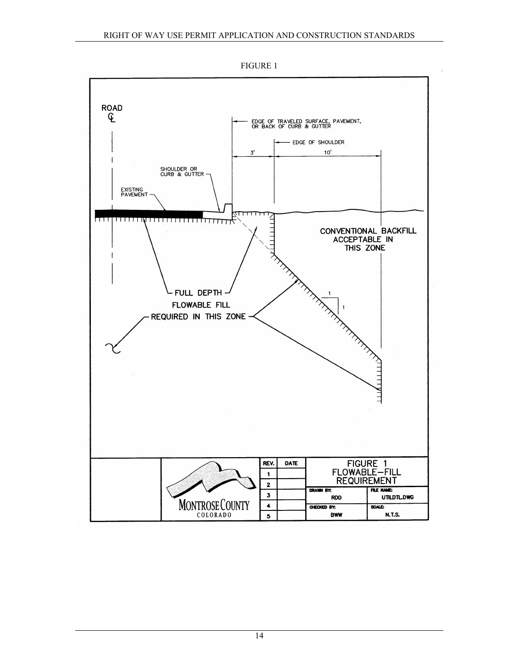

FIGURE 1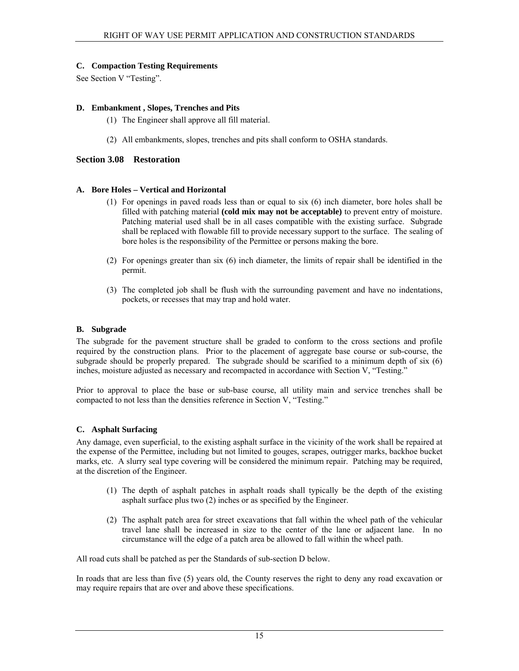#### <span id="page-18-0"></span>**C. Compaction Testing Requirements**

See Section V "Testing".

#### **D. Embankment , Slopes, Trenches and Pits**

- (1) The Engineer shall approve all fill material.
- (2) All embankments, slopes, trenches and pits shall conform to OSHA standards.

#### **Section 3.08 Restoration**

#### **A. Bore Holes – Vertical and Horizontal**

- (1) For openings in paved roads less than or equal to six (6) inch diameter, bore holes shall be filled with patching material **(cold mix may not be acceptable)** to prevent entry of moisture. Patching material used shall be in all cases compatible with the existing surface. Subgrade shall be replaced with flowable fill to provide necessary support to the surface. The sealing of bore holes is the responsibility of the Permittee or persons making the bore.
- (2) For openings greater than six (6) inch diameter, the limits of repair shall be identified in the permit.
- (3) The completed job shall be flush with the surrounding pavement and have no indentations, pockets, or recesses that may trap and hold water.

#### **B. Subgrade**

The subgrade for the pavement structure shall be graded to conform to the cross sections and profile required by the construction plans. Prior to the placement of aggregate base course or sub-course, the subgrade should be properly prepared. The subgrade should be scarified to a minimum depth of six (6) inches, moisture adjusted as necessary and recompacted in accordance with Section V, "Testing."

Prior to approval to place the base or sub-base course, all utility main and service trenches shall be compacted to not less than the densities reference in Section V, "Testing."

#### **C. Asphalt Surfacing**

Any damage, even superficial, to the existing asphalt surface in the vicinity of the work shall be repaired at the expense of the Permittee, including but not limited to gouges, scrapes, outrigger marks, backhoe bucket marks, etc. A slurry seal type covering will be considered the minimum repair. Patching may be required, at the discretion of the Engineer.

- (1) The depth of asphalt patches in asphalt roads shall typically be the depth of the existing asphalt surface plus two (2) inches or as specified by the Engineer.
- (2) The asphalt patch area for street excavations that fall within the wheel path of the vehicular travel lane shall be increased in size to the center of the lane or adjacent lane. In no circumstance will the edge of a patch area be allowed to fall within the wheel path.

All road cuts shall be patched as per the Standards of sub-section D below.

In roads that are less than five (5) years old, the County reserves the right to deny any road excavation or may require repairs that are over and above these specifications.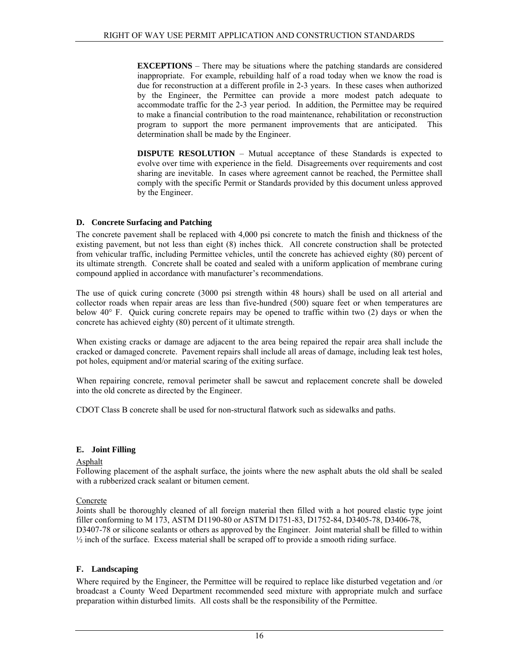**EXCEPTIONS** – There may be situations where the patching standards are considered inappropriate. For example, rebuilding half of a road today when we know the road is due for reconstruction at a different profile in 2-3 years. In these cases when authorized by the Engineer, the Permittee can provide a more modest patch adequate to accommodate traffic for the 2-3 year period. In addition, the Permittee may be required to make a financial contribution to the road maintenance, rehabilitation or reconstruction program to support the more permanent improvements that are anticipated. This determination shall be made by the Engineer.

**DISPUTE RESOLUTION** – Mutual acceptance of these Standards is expected to evolve over time with experience in the field. Disagreements over requirements and cost sharing are inevitable. In cases where agreement cannot be reached, the Permittee shall comply with the specific Permit or Standards provided by this document unless approved by the Engineer.

# **D. Concrete Surfacing and Patching**

The concrete pavement shall be replaced with 4,000 psi concrete to match the finish and thickness of the existing pavement, but not less than eight (8) inches thick. All concrete construction shall be protected from vehicular traffic, including Permittee vehicles, until the concrete has achieved eighty (80) percent of its ultimate strength. Concrete shall be coated and sealed with a uniform application of membrane curing compound applied in accordance with manufacturer's recommendations.

The use of quick curing concrete (3000 psi strength within 48 hours) shall be used on all arterial and collector roads when repair areas are less than five-hundred (500) square feet or when temperatures are below 40° F. Quick curing concrete repairs may be opened to traffic within two (2) days or when the concrete has achieved eighty (80) percent of it ultimate strength.

When existing cracks or damage are adjacent to the area being repaired the repair area shall include the cracked or damaged concrete. Pavement repairs shall include all areas of damage, including leak test holes, pot holes, equipment and/or material scaring of the exiting surface.

When repairing concrete, removal perimeter shall be sawcut and replacement concrete shall be doweled into the old concrete as directed by the Engineer.

CDOT Class B concrete shall be used for non-structural flatwork such as sidewalks and paths.

### **E. Joint Filling**

### Asphalt

Following placement of the asphalt surface, the joints where the new asphalt abuts the old shall be sealed with a rubberized crack sealant or bitumen cement.

### Concrete

Joints shall be thoroughly cleaned of all foreign material then filled with a hot poured elastic type joint filler conforming to M 173, ASTM D1190-80 or ASTM D1751-83, D1752-84, D3405-78, D3406-78, D3407-78 or silicone sealants or others as approved by the Engineer. Joint material shall be filled to within  $\frac{1}{2}$  inch of the surface. Excess material shall be scraped off to provide a smooth riding surface.

### **F. Landscaping**

Where required by the Engineer, the Permittee will be required to replace like disturbed vegetation and /or broadcast a County Weed Department recommended seed mixture with appropriate mulch and surface preparation within disturbed limits. All costs shall be the responsibility of the Permittee.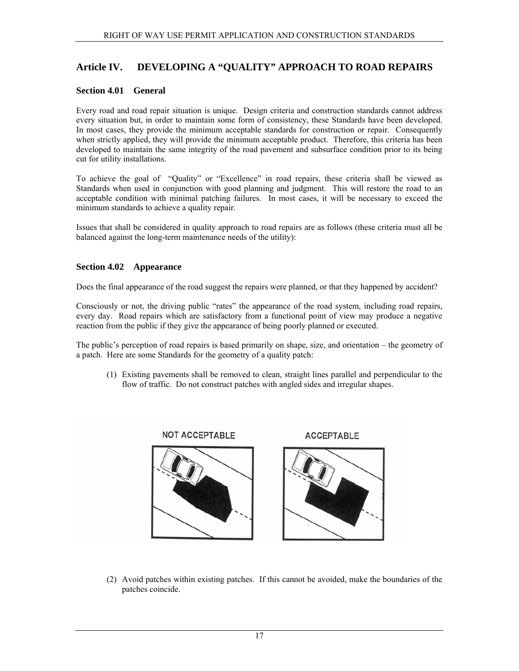# <span id="page-20-0"></span>**Article IV. DEVELOPING A "QUALITY" APPROACH TO ROAD REPAIRS**

## **Section 4.01 General**

Every road and road repair situation is unique. Design criteria and construction standards cannot address every situation but, in order to maintain some form of consistency, these Standards have been developed. In most cases, they provide the minimum acceptable standards for construction or repair. Consequently when strictly applied, they will provide the minimum acceptable product. Therefore, this criteria has been developed to maintain the same integrity of the road pavement and subsurface condition prior to its being cut for utility installations.

To achieve the goal of "Quality" or "Excellence" in road repairs, these criteria shall be viewed as Standards when used in conjunction with good planning and judgment. This will restore the road to an acceptable condition with minimal patching failures. In most cases, it will be necessary to exceed the minimum standards to achieve a quality repair.

Issues that shall be considered in quality approach to road repairs are as follows (these criteria must all be balanced against the long-term maintenance needs of the utility):

### **Section 4.02 Appearance**

Does the final appearance of the road suggest the repairs were planned, or that they happened by accident?

Consciously or not, the driving public "rates" the appearance of the road system, including road repairs, every day. Road repairs which are satisfactory from a functional point of view may produce a negative reaction from the public if they give the appearance of being poorly planned or executed.

The public's perception of road repairs is based primarily on shape, size, and orientation – the geometry of a patch. Here are some Standards for the geometry of a quality patch:

(1) Existing pavements shall be removed to clean, straight lines parallel and perpendicular to the flow of traffic. Do not construct patches with angled sides and irregular shapes.



(2) Avoid patches within existing patches. If this cannot be avoided, make the boundaries of the patches coincide.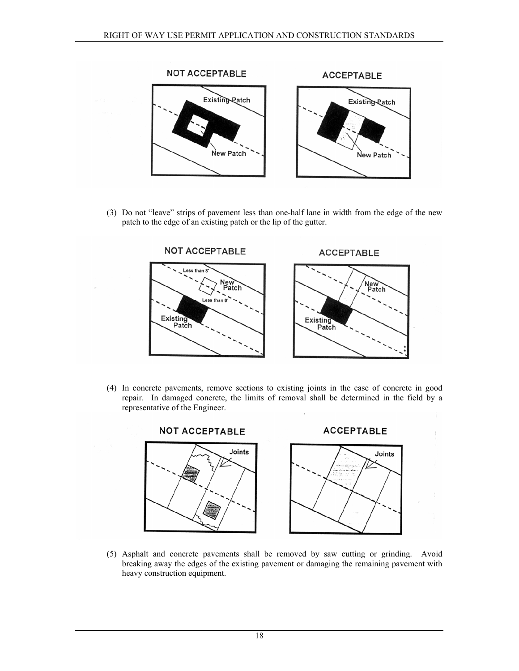

(3) Do not "leave" strips of pavement less than one-half lane in width from the edge of the new patch to the edge of an existing patch or the lip of the gutter.



(4) In concrete pavements, remove sections to existing joints in the case of concrete in good repair. In damaged concrete, the limits of removal shall be determined in the field by a representative of the Engineer.



(5) Asphalt and concrete pavements shall be removed by saw cutting or grinding. Avoid breaking away the edges of the existing pavement or damaging the remaining pavement with heavy construction equipment.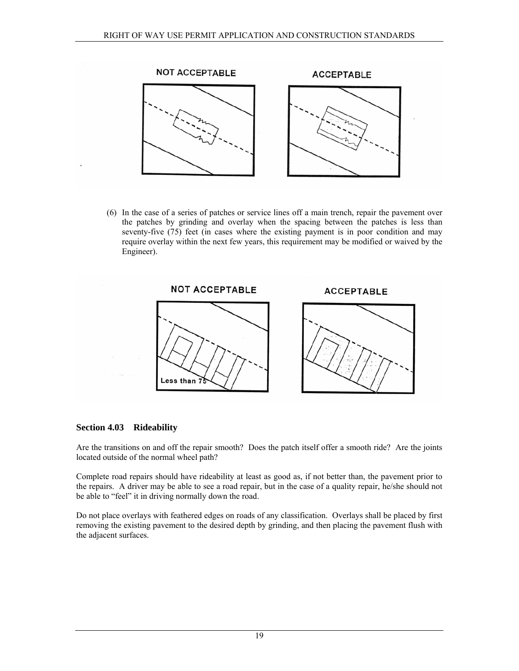<span id="page-22-0"></span>

(6) In the case of a series of patches or service lines off a main trench, repair the pavement over the patches by grinding and overlay when the spacing between the patches is less than seventy-five (75) feet (in cases where the existing payment is in poor condition and may require overlay within the next few years, this requirement may be modified or waived by the Engineer).



### **Section 4.03 Rideability**

Are the transitions on and off the repair smooth? Does the patch itself offer a smooth ride? Are the joints located outside of the normal wheel path?

Complete road repairs should have rideability at least as good as, if not better than, the pavement prior to the repairs. A driver may be able to see a road repair, but in the case of a quality repair, he/she should not be able to "feel" it in driving normally down the road.

Do not place overlays with feathered edges on roads of any classification. Overlays shall be placed by first removing the existing pavement to the desired depth by grinding, and then placing the pavement flush with the adjacent surfaces.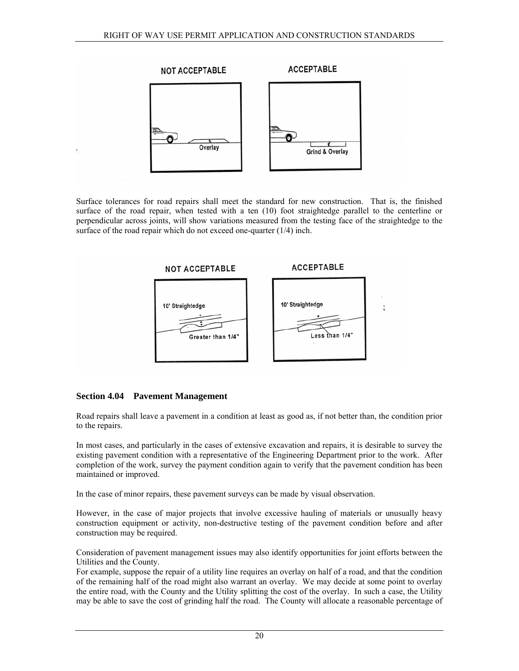<span id="page-23-0"></span>

Surface tolerances for road repairs shall meet the standard for new construction. That is, the finished surface of the road repair, when tested with a ten (10) foot straightedge parallel to the centerline or perpendicular across joints, will show variations measured from the testing face of the straightedge to the surface of the road repair which do not exceed one-quarter (1/4) inch.



# **Section 4.04 Pavement Management**

Road repairs shall leave a pavement in a condition at least as good as, if not better than, the condition prior to the repairs.

In most cases, and particularly in the cases of extensive excavation and repairs, it is desirable to survey the existing pavement condition with a representative of the Engineering Department prior to the work. After completion of the work, survey the payment condition again to verify that the pavement condition has been maintained or improved.

In the case of minor repairs, these pavement surveys can be made by visual observation.

However, in the case of major projects that involve excessive hauling of materials or unusually heavy construction equipment or activity, non-destructive testing of the pavement condition before and after construction may be required.

Consideration of pavement management issues may also identify opportunities for joint efforts between the Utilities and the County.

For example, suppose the repair of a utility line requires an overlay on half of a road, and that the condition of the remaining half of the road might also warrant an overlay. We may decide at some point to overlay the entire road, with the County and the Utility splitting the cost of the overlay. In such a case, the Utility may be able to save the cost of grinding half the road. The County will allocate a reasonable percentage of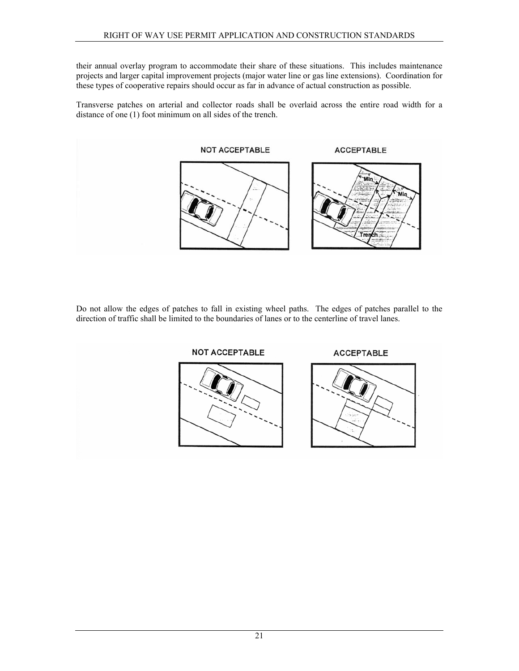their annual overlay program to accommodate their share of these situations. This includes maintenance projects and larger capital improvement projects (major water line or gas line extensions). Coordination for these types of cooperative repairs should occur as far in advance of actual construction as possible.

Transverse patches on arterial and collector roads shall be overlaid across the entire road width for a distance of one (1) foot minimum on all sides of the trench.



Do not allow the edges of patches to fall in existing wheel paths. The edges of patches parallel to the direction of traffic shall be limited to the boundaries of lanes or to the centerline of travel lanes.





**ACCEPTABLE** 

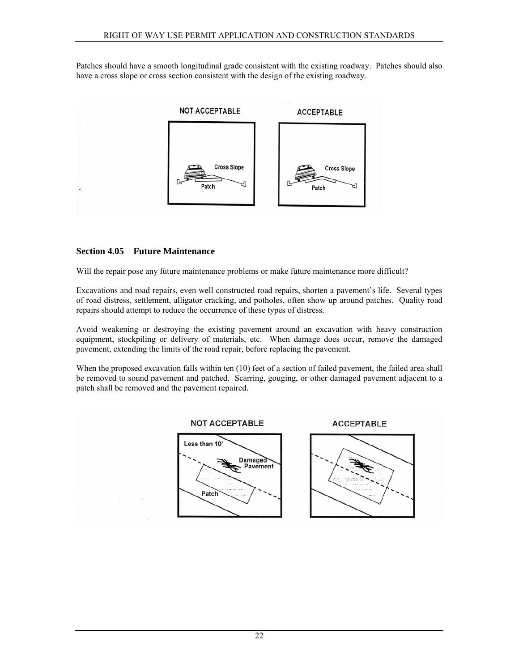<span id="page-25-0"></span>Patches should have a smooth longitudinal grade consistent with the existing roadway. Patches should also have a cross slope or cross section consistent with the design of the existing roadway.



# **Section 4.05 Future Maintenance**

Will the repair pose any future maintenance problems or make future maintenance more difficult?

Excavations and road repairs, even well constructed road repairs, shorten a pavement's life. Several types of road distress, settlement, alligator cracking, and potholes, often show up around patches. Quality road repairs should attempt to reduce the occurrence of these types of distress.

Avoid weakening or destroying the existing pavement around an excavation with heavy construction equipment, stockpiling or delivery of materials, etc. When damage does occur, remove the damaged pavement, extending the limits of the road repair, before replacing the pavement.

When the proposed excavation falls within ten (10) feet of a section of failed pavement, the failed area shall be removed to sound pavement and patched. Scarring, gouging, or other damaged pavement adjacent to a patch shall be removed and the pavement repaired.

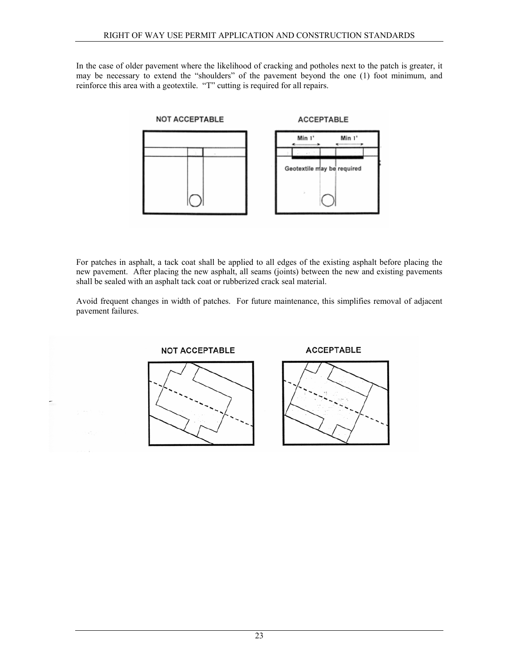In the case of older pavement where the likelihood of cracking and potholes next to the patch is greater, it may be necessary to extend the "shoulders" of the pavement beyond the one (1) foot minimum, and reinforce this area with a geotextile. "T" cutting is required for all repairs.



For patches in asphalt, a tack coat shall be applied to all edges of the existing asphalt before placing the new pavement. After placing the new asphalt, all seams (joints) between the new and existing pavements shall be sealed with an asphalt tack coat or rubberized crack seal material.

Avoid frequent changes in width of patches. For future maintenance, this simplifies removal of adjacent pavement failures.

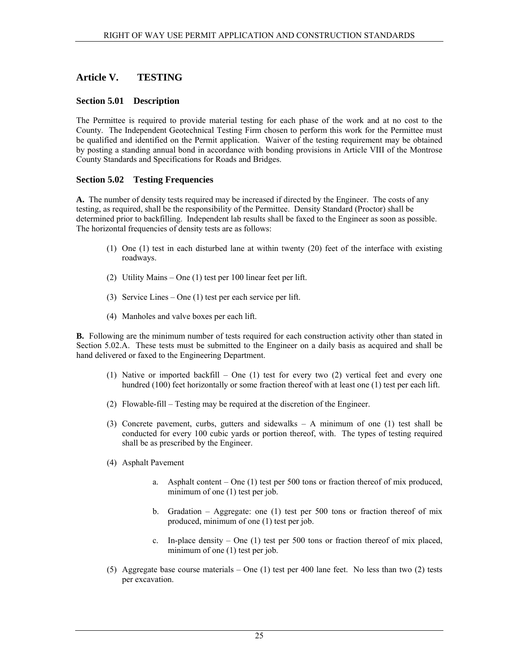# <span id="page-28-0"></span>**Article V. TESTING**

## **Section 5.01 Description**

The Permittee is required to provide material testing for each phase of the work and at no cost to the County. The Independent Geotechnical Testing Firm chosen to perform this work for the Permittee must be qualified and identified on the Permit application. Waiver of the testing requirement may be obtained by posting a standing annual bond in accordance with bonding provisions in Article VIII of the Montrose County Standards and Specifications for Roads and Bridges.

# **Section 5.02 Testing Frequencies**

**A.** The number of density tests required may be increased if directed by the Engineer. The costs of any testing, as required, shall be the responsibility of the Permittee. Density Standard (Proctor) shall be determined prior to backfilling. Independent lab results shall be faxed to the Engineer as soon as possible. The horizontal frequencies of density tests are as follows:

- (1) One (1) test in each disturbed lane at within twenty (20) feet of the interface with existing roadways.
- (2) Utility Mains One (1) test per 100 linear feet per lift.
- (3) Service Lines One (1) test per each service per lift.
- (4) Manholes and valve boxes per each lift.

**B.** Following are the minimum number of tests required for each construction activity other than stated in Section 5.02.A. These tests must be submitted to the Engineer on a daily basis as acquired and shall be hand delivered or faxed to the Engineering Department.

- (1) Native or imported backfill One (1) test for every two (2) vertical feet and every one hundred (100) feet horizontally or some fraction thereof with at least one (1) test per each lift.
- (2) Flowable-fill Testing may be required at the discretion of the Engineer.
- (3) Concrete pavement, curbs, gutters and sidewalks A minimum of one (1) test shall be conducted for every 100 cubic yards or portion thereof, with. The types of testing required shall be as prescribed by the Engineer.
- (4) Asphalt Pavement
	- a. Asphalt content One (1) test per 500 tons or fraction thereof of mix produced, minimum of one (1) test per job.
	- b. Gradation Aggregate: one (1) test per 500 tons or fraction thereof of mix produced, minimum of one (1) test per job.
	- c. In-place density One (1) test per 500 tons or fraction thereof of mix placed, minimum of one (1) test per job.
- (5) Aggregate base course materials One (1) test per 400 lane feet. No less than two (2) tests per excavation.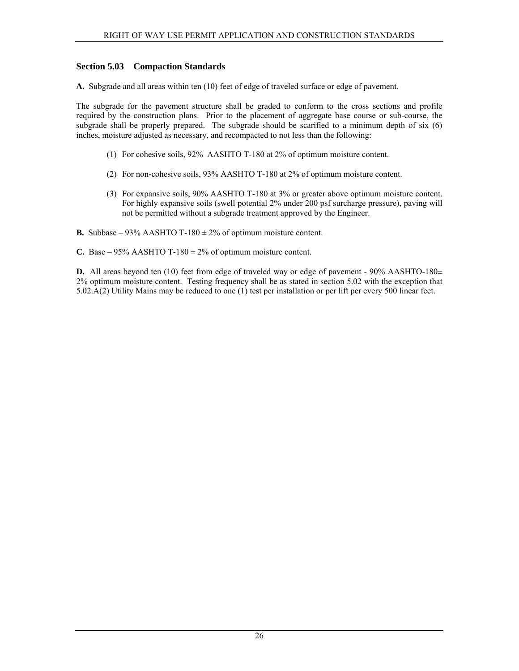## <span id="page-29-0"></span>**Section 5.03 Compaction Standards**

**A.** Subgrade and all areas within ten (10) feet of edge of traveled surface or edge of pavement.

The subgrade for the pavement structure shall be graded to conform to the cross sections and profile required by the construction plans. Prior to the placement of aggregate base course or sub-course, the subgrade shall be properly prepared. The subgrade should be scarified to a minimum depth of six (6) inches, moisture adjusted as necessary, and recompacted to not less than the following:

- (1) For cohesive soils, 92% AASHTO T-180 at 2% of optimum moisture content.
- (2) For non-cohesive soils, 93% AASHTO T-180 at 2% of optimum moisture content.
- (3) For expansive soils, 90% AASHTO T-180 at 3% or greater above optimum moisture content. For highly expansive soils (swell potential 2% under 200 psf surcharge pressure), paving will not be permitted without a subgrade treatment approved by the Engineer.
- **B.** Subbase 93% AASHTO T-180  $\pm$  2% of optimum moisture content.
- **C.** Base 95% AASHTO T-180  $\pm$  2% of optimum moisture content.

**D.** All areas beyond ten (10) feet from edge of traveled way or edge of pavement - 90% AASHTO-180 $\pm$ 2% optimum moisture content. Testing frequency shall be as stated in section 5.02 with the exception that 5.02.A(2) Utility Mains may be reduced to one (1) test per installation or per lift per every 500 linear feet.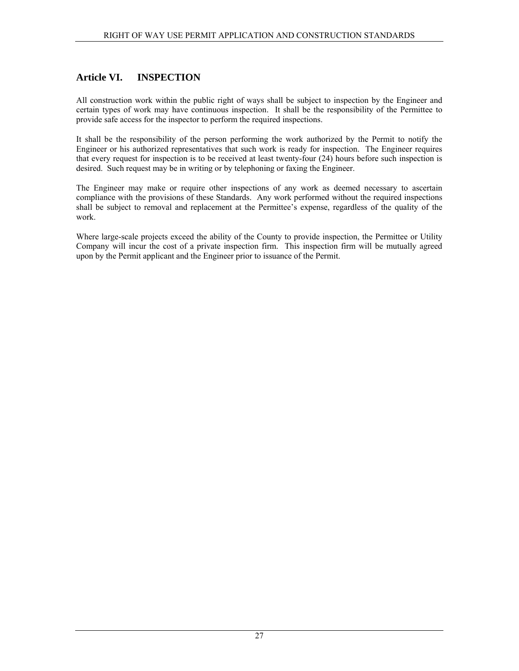# <span id="page-30-0"></span>**Article VI. INSPECTION**

All construction work within the public right of ways shall be subject to inspection by the Engineer and certain types of work may have continuous inspection. It shall be the responsibility of the Permittee to provide safe access for the inspector to perform the required inspections.

It shall be the responsibility of the person performing the work authorized by the Permit to notify the Engineer or his authorized representatives that such work is ready for inspection. The Engineer requires that every request for inspection is to be received at least twenty-four (24) hours before such inspection is desired. Such request may be in writing or by telephoning or faxing the Engineer.

The Engineer may make or require other inspections of any work as deemed necessary to ascertain compliance with the provisions of these Standards. Any work performed without the required inspections shall be subject to removal and replacement at the Permittee's expense, regardless of the quality of the work.

Where large-scale projects exceed the ability of the County to provide inspection, the Permittee or Utility Company will incur the cost of a private inspection firm. This inspection firm will be mutually agreed upon by the Permit applicant and the Engineer prior to issuance of the Permit.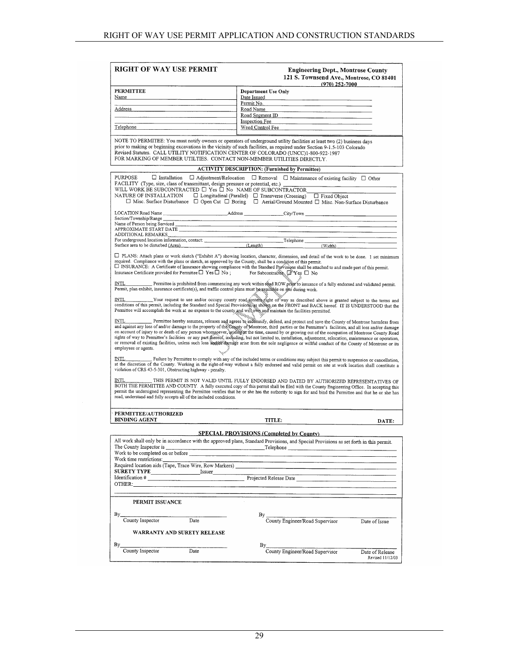| RIGHT OF WAY USE PERMIT                                                                                                                                                                                                                                                                               | <b>Engineering Dept., Montrose County</b><br>121 S. Townsend Ave., Montrose, CO 81401<br>$(970)$ 252-7000                                                                                                                                                                                                                                                                                                                                                                                                                                                                                                                                                                                                                                                                     |
|-------------------------------------------------------------------------------------------------------------------------------------------------------------------------------------------------------------------------------------------------------------------------------------------------------|-------------------------------------------------------------------------------------------------------------------------------------------------------------------------------------------------------------------------------------------------------------------------------------------------------------------------------------------------------------------------------------------------------------------------------------------------------------------------------------------------------------------------------------------------------------------------------------------------------------------------------------------------------------------------------------------------------------------------------------------------------------------------------|
| <b>PERMITTEE</b>                                                                                                                                                                                                                                                                                      | Department Use Only                                                                                                                                                                                                                                                                                                                                                                                                                                                                                                                                                                                                                                                                                                                                                           |
| Name                                                                                                                                                                                                                                                                                                  | Date Issued                                                                                                                                                                                                                                                                                                                                                                                                                                                                                                                                                                                                                                                                                                                                                                   |
|                                                                                                                                                                                                                                                                                                       | Permit No.                                                                                                                                                                                                                                                                                                                                                                                                                                                                                                                                                                                                                                                                                                                                                                    |
| Address                                                                                                                                                                                                                                                                                               | Road Name                                                                                                                                                                                                                                                                                                                                                                                                                                                                                                                                                                                                                                                                                                                                                                     |
|                                                                                                                                                                                                                                                                                                       | Inspection Fee                                                                                                                                                                                                                                                                                                                                                                                                                                                                                                                                                                                                                                                                                                                                                                |
| Telephone and the state of the state of the state of the state of the state of the state of the state of the state of the state of the state of the state of the state of the state of the state of the state of the state of                                                                         | Weed Control Fee the control of the control of the control of the control of the control of the control of the control of the control of the control of the control of the control of the control of the control of the contro                                                                                                                                                                                                                                                                                                                                                                                                                                                                                                                                                |
|                                                                                                                                                                                                                                                                                                       |                                                                                                                                                                                                                                                                                                                                                                                                                                                                                                                                                                                                                                                                                                                                                                               |
| Revised Statutes. CALL UTILITY NOTIFICATION CENTER OF COLORADO (UNCC)1-800-922-1987<br>FOR MARKING OF MEMBER UTILTIES. CONTACT NON-MEMBER UTILITIES DIRECTLY.                                                                                                                                         | NOTE TO PERMITEE: You must notify owners or operators of underground utility facilities at least two (2) business days<br>prior to making or beginning excavations in the vicinity of such facilities, as required under Section 9-1.5-103 Colorado                                                                                                                                                                                                                                                                                                                                                                                                                                                                                                                           |
|                                                                                                                                                                                                                                                                                                       | <b>ACTIVITY DESCRIPTION: (Furnished by Permittee)</b>                                                                                                                                                                                                                                                                                                                                                                                                                                                                                                                                                                                                                                                                                                                         |
| PURPOSE<br>$\Box$ Installation<br>FACILITY (Type, size, class of transmittant, design pressure or potential, etc.)<br>WILL WORK BE SUBCONTRACTED $\Box$ Yes $\Box$ No NAME OF SUBCONTRACTOR<br>NATURE OF INSTALLATION $\Box$ Longitudinal (Parallel) $\Box$ Transverse (Crossing) $\Box$ Fixed Object | $\Box$ Adjustment/Relocation $\Box$ Removal $\Box$ Maintenance of existing facility $\Box$ Other<br>$\Box$ Misc. Surface Disturbance $\Box$ Open Cut $\Box$ Boring $\Box$ Aerial/Ground Mounted $\Box$ Misc. Non-Surface Disturbance                                                                                                                                                                                                                                                                                                                                                                                                                                                                                                                                          |
|                                                                                                                                                                                                                                                                                                       | LOCATION Road Name ______________________________Address ______________City/Town _____________________________                                                                                                                                                                                                                                                                                                                                                                                                                                                                                                                                                                                                                                                                |
| Section/Township/Range                                                                                                                                                                                                                                                                                |                                                                                                                                                                                                                                                                                                                                                                                                                                                                                                                                                                                                                                                                                                                                                                               |
| Name of Person being Serviced<br>APPROXIMATE START DATE                                                                                                                                                                                                                                               |                                                                                                                                                                                                                                                                                                                                                                                                                                                                                                                                                                                                                                                                                                                                                                               |
| ADDITIONAL REMARKS                                                                                                                                                                                                                                                                                    |                                                                                                                                                                                                                                                                                                                                                                                                                                                                                                                                                                                                                                                                                                                                                                               |
| ADDITIONAL REMARKS<br>For underground location information, contact:<br>Surface area to be disturbed (Area).<br>Surface area to be disturbed (Area).<br>(Length) (Length)                                                                                                                             |                                                                                                                                                                                                                                                                                                                                                                                                                                                                                                                                                                                                                                                                                                                                                                               |
|                                                                                                                                                                                                                                                                                                       | (Width)                                                                                                                                                                                                                                                                                                                                                                                                                                                                                                                                                                                                                                                                                                                                                                       |
| required. Compliance with the plans or sketch, as approved by the County, shall be a condition of this permit.<br>Insurance Certificate provided for Permittee $\Box$ Yes $\Box$ No; For Subcontractor, $\Box$ Yes $\Box$ No                                                                          | □ PLANS: Attach plans or work sketch ("Exhibit A") showing location, character, dimension, and detail of the work to be done. 1 set minimum<br>I INSURANCE: A Certificate of Insurance showing compliance with the Standard Provisions shall be attached to and made part of this permit.                                                                                                                                                                                                                                                                                                                                                                                                                                                                                     |
| Permit, plan exhibit, insurance certificate(s), and traffic control plans must be available on site during work.                                                                                                                                                                                      | Permittee is prohibited from commencing any work within read ROW prior to issuance of a fully endorsed and validated permit.                                                                                                                                                                                                                                                                                                                                                                                                                                                                                                                                                                                                                                                  |
| Permittee will accomplish the work at no expense to the county and will own and maintain the facilities permitted.                                                                                                                                                                                    | . Your request to use and/or occupy county road system right of way as described above is granted subject to the terms and<br>conditions of this permit, including the Standard and Special Provision as shown on the FRONT and BACK hereof. IT IS UNDERSTOOD that the                                                                                                                                                                                                                                                                                                                                                                                                                                                                                                        |
| INTL<br>employees or agents.                                                                                                                                                                                                                                                                          | Permittee hereby assumes, releases and agrees to indefinity, defend, and protect and save the County of Montrose harmless from<br>and against any loss of and/or damage to the property of the County of Montrose, third parties or the Permittee's facilities, and all loss and/or damage<br>on account of injury to or death of any person whomsoever, arising at the time, caused by or growing out of the occupation of Montrose County Road<br>rights of way to Permittee's facilities or any part thereof, including, but not limited to, installation, adjustment, relocation, maintenance or operation,<br>or removal of existing facilities, unless such loss and os and on a few areas from the sole negligence or willful conduct of the County of Montrose or its |
| <b>INTL</b><br>violation of CRS 43-5-301, Obstructing highway - penalty.                                                                                                                                                                                                                              | Failure by Permittee to comply with any of the included terms or conditions may subject this permit to suspension or cancellation,<br>at the discretion of the County. Working in the right-of-way without a fully endorsed and valid permit on site at work location shall constitute a                                                                                                                                                                                                                                                                                                                                                                                                                                                                                      |
| INTL<br>read, understand and fully accepts all of the included conditions.                                                                                                                                                                                                                            | THIS PERMIT IS NOT VALID UNTIL FULLY ENDORSED AND DATED BY AUTHORIZED REPRESENTATIVES OF<br>BOTH THE PERMITTEE AND COUNTY. A fully executed copy of this permit shall be filed with the County Engineering Office. In accepting this<br>permit the undersigned representing the Permittee verifies that he or she has the authority to sign for and bind the Permittee and that he or she has                                                                                                                                                                                                                                                                                                                                                                                 |
| PERMITTEE/AUTHORIZED                                                                                                                                                                                                                                                                                  |                                                                                                                                                                                                                                                                                                                                                                                                                                                                                                                                                                                                                                                                                                                                                                               |
| <b>BINDING AGENT</b>                                                                                                                                                                                                                                                                                  | TITLE:<br>DATE:                                                                                                                                                                                                                                                                                                                                                                                                                                                                                                                                                                                                                                                                                                                                                               |
|                                                                                                                                                                                                                                                                                                       | <b>SPECIAL PROVISIONS (Completed by County)</b>                                                                                                                                                                                                                                                                                                                                                                                                                                                                                                                                                                                                                                                                                                                               |
|                                                                                                                                                                                                                                                                                                       | All work shall only be in accordance with the approved plans, Standard Provisions, and Special Provisions as set forth in this permit.                                                                                                                                                                                                                                                                                                                                                                                                                                                                                                                                                                                                                                        |
|                                                                                                                                                                                                                                                                                                       |                                                                                                                                                                                                                                                                                                                                                                                                                                                                                                                                                                                                                                                                                                                                                                               |
| Work to be completed on or before                                                                                                                                                                                                                                                                     |                                                                                                                                                                                                                                                                                                                                                                                                                                                                                                                                                                                                                                                                                                                                                                               |
| Work time restrictions:                                                                                                                                                                                                                                                                               |                                                                                                                                                                                                                                                                                                                                                                                                                                                                                                                                                                                                                                                                                                                                                                               |
|                                                                                                                                                                                                                                                                                                       |                                                                                                                                                                                                                                                                                                                                                                                                                                                                                                                                                                                                                                                                                                                                                                               |
|                                                                                                                                                                                                                                                                                                       |                                                                                                                                                                                                                                                                                                                                                                                                                                                                                                                                                                                                                                                                                                                                                                               |
|                                                                                                                                                                                                                                                                                                       | Identification #                                                                                                                                                                                                                                                                                                                                                                                                                                                                                                                                                                                                                                                                                                                                                              |
|                                                                                                                                                                                                                                                                                                       |                                                                                                                                                                                                                                                                                                                                                                                                                                                                                                                                                                                                                                                                                                                                                                               |
| PERMIT ISSUANCE                                                                                                                                                                                                                                                                                       |                                                                                                                                                                                                                                                                                                                                                                                                                                                                                                                                                                                                                                                                                                                                                                               |
| By                                                                                                                                                                                                                                                                                                    | By                                                                                                                                                                                                                                                                                                                                                                                                                                                                                                                                                                                                                                                                                                                                                                            |
| County Inspector<br>Date                                                                                                                                                                                                                                                                              | County Engineer/Road Supervisor<br>Date of Issue                                                                                                                                                                                                                                                                                                                                                                                                                                                                                                                                                                                                                                                                                                                              |
| WARRANTY AND SURETY RELEASE                                                                                                                                                                                                                                                                           |                                                                                                                                                                                                                                                                                                                                                                                                                                                                                                                                                                                                                                                                                                                                                                               |
|                                                                                                                                                                                                                                                                                                       |                                                                                                                                                                                                                                                                                                                                                                                                                                                                                                                                                                                                                                                                                                                                                                               |
| By<br>County Inspector<br>Date                                                                                                                                                                                                                                                                        | By<br>County Engineer/Road Supervisor<br>Date of Release<br>Revised 11/12/03                                                                                                                                                                                                                                                                                                                                                                                                                                                                                                                                                                                                                                                                                                  |